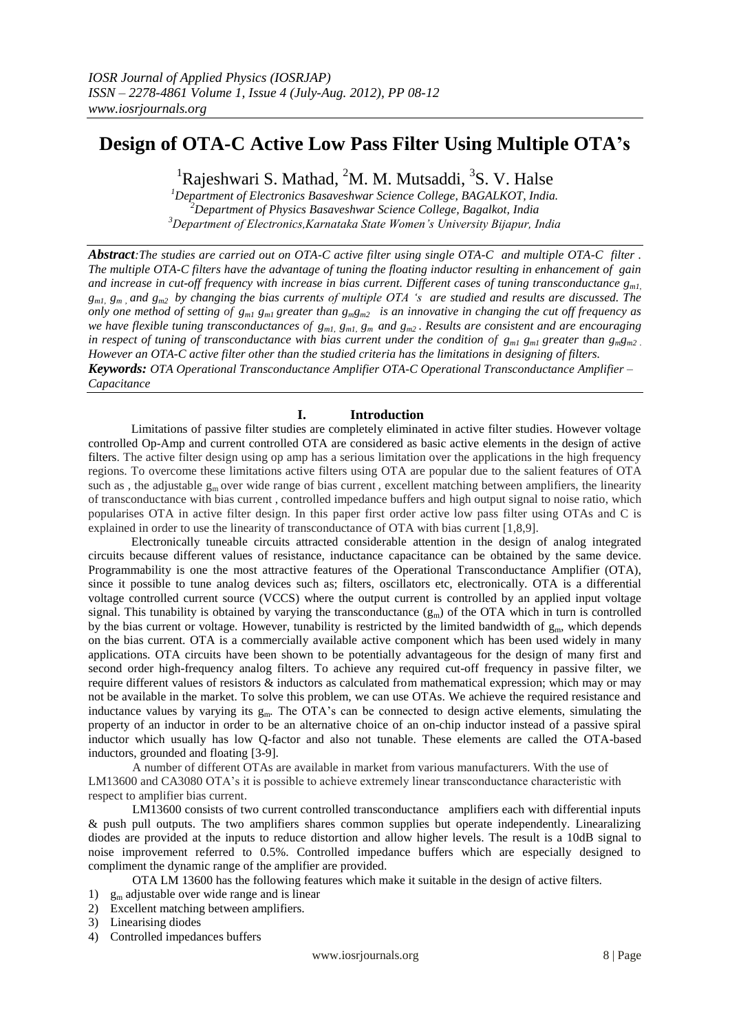# **Design of OTA-C Active Low Pass Filter Using Multiple OTA's**

<sup>1</sup>Rajeshwari S. Mathad, <sup>2</sup>M. M. Mutsaddi, <sup>3</sup>S. V. Halse

*<sup>1</sup>Department of Electronics Basaveshwar Science College, BAGALKOT, India. <sup>2</sup>Department of Physics Basaveshwar Science College, Bagalkot, India <sup>3</sup>Department of Electronics,Karnataka State Women's University Bijapur, India*

*Abstract:The studies are carried out on OTA-C active filter using single OTA-C and multiple OTA-C filter . The multiple OTA-C filters have the advantage of tuning the floating inductor resulting in enhancement of gain and increase in cut-off frequency with increase in bias current. Different cases of tuning transconductance gm1, gm1, gm , and gm2 by changing the bias currents of multiple OTA 's are studied and results are discussed. The only one method of setting of*  $g_{ml}$   $g_{ml}$  greater than  $g_{m}g_{m2}$  *is an innovative in changing the cut off frequency as we have flexible tuning transconductances of gm1, gm1, gm and gm2 . Results are consistent and are encouraging in respect of tuning of transconductance with bias current under the condition of*  $g_{ml}$  *g*<sub>*m1*</sub> *g*<sup>*m<sub>1</sub>*</sub> *g*<sup>*m*</sup>*g*<sup>*m*</sup>*g*<sup>*m*</sup>*g*<sup>*m*</sup>*g*<sup>*m*</sup>*g*<sup>*m*</sup>*g*<sup>*m*</sup>*g*<sup>*m*</sup>*g*<sup>*m*</sup>*g*<sup>*m*</sup>*g*<sup>*m*</sup>*g*<sup>*m*</sup>*g*<sup>*m*</sup>*g*<sup></sup></sup> *However an OTA-C active filter other than the studied criteria has the limitations in designing of filters. Keywords: OTA Operational Transconductance Amplifier OTA-C Operational Transconductance Amplifier –*

*Capacitance* 

## **I. Introduction**

 Limitations of passive filter studies are completely eliminated in active filter studies. However voltage controlled Op-Amp and current controlled OTA are considered as basic active elements in the design of active filters. The active filter design using op amp has a serious limitation over the applications in the high frequency regions. To overcome these limitations active filters using OTA are popular due to the salient features of OTA such as , the adjustable  $g_m$  over wide range of bias current, excellent matching between amplifiers, the linearity of transconductance with bias current , controlled impedance buffers and high output signal to noise ratio, which popularises OTA in active filter design. In this paper first order active low pass filter using OTAs and C is explained in order to use the linearity of transconductance of OTA with bias current [1,8,9].

 Electronically tuneable circuits attracted considerable attention in the design of analog integrated circuits because different values of resistance, inductance capacitance can be obtained by the same device. Programmability is one the most attractive features of the Operational Transconductance Amplifier (OTA), since it possible to tune analog devices such as; filters, oscillators etc, electronically. OTA is a differential voltage controlled current source (VCCS) where the output current is controlled by an applied input voltage signal. This tunability is obtained by varying the transconductance  $(g_m)$  of the OTA which in turn is controlled by the bias current or voltage. However, tunability is restricted by the limited bandwidth of  $g_m$ , which depends on the bias current. OTA is a commercially available active component which has been used widely in many applications. OTA circuits have been shown to be potentially advantageous for the design of many first and second order high-frequency analog filters. To achieve any required cut-off frequency in passive filter, we require different values of resistors & inductors as calculated from mathematical expression; which may or may not be available in the market. To solve this problem, we can use OTAs. We achieve the required resistance and inductance values by varying its gm*.* The OTA's can be connected to design active elements, simulating the property of an inductor in order to be an alternative choice of an on-chip inductor instead of a passive spiral inductor which usually has low Q-factor and also not tunable. These elements are called the OTA-based inductors, grounded and floating [3-9].

A number of different OTAs are available in market from various manufacturers. With the use of LM13600 and CA3080 OTA's it is possible to achieve extremely linear transconductance characteristic with respect to amplifier bias current.

LM13600 consists of two current controlled transconductance amplifiers each with differential inputs & push pull outputs. The two amplifiers shares common supplies but operate independently. Linearalizing diodes are provided at the inputs to reduce distortion and allow higher levels. The result is a 10dB signal to noise improvement referred to 0.5%. Controlled impedance buffers which are especially designed to compliment the dynamic range of the amplifier are provided.

OTA LM 13600 has the following features which make it suitable in the design of active filters.

- 1)  $g_m$  adjustable over wide range and is linear
- 2) Excellent matching between amplifiers.
- 3) Linearising diodes
- 4) Controlled impedances buffers

www.iosrjournals.org 8 | Page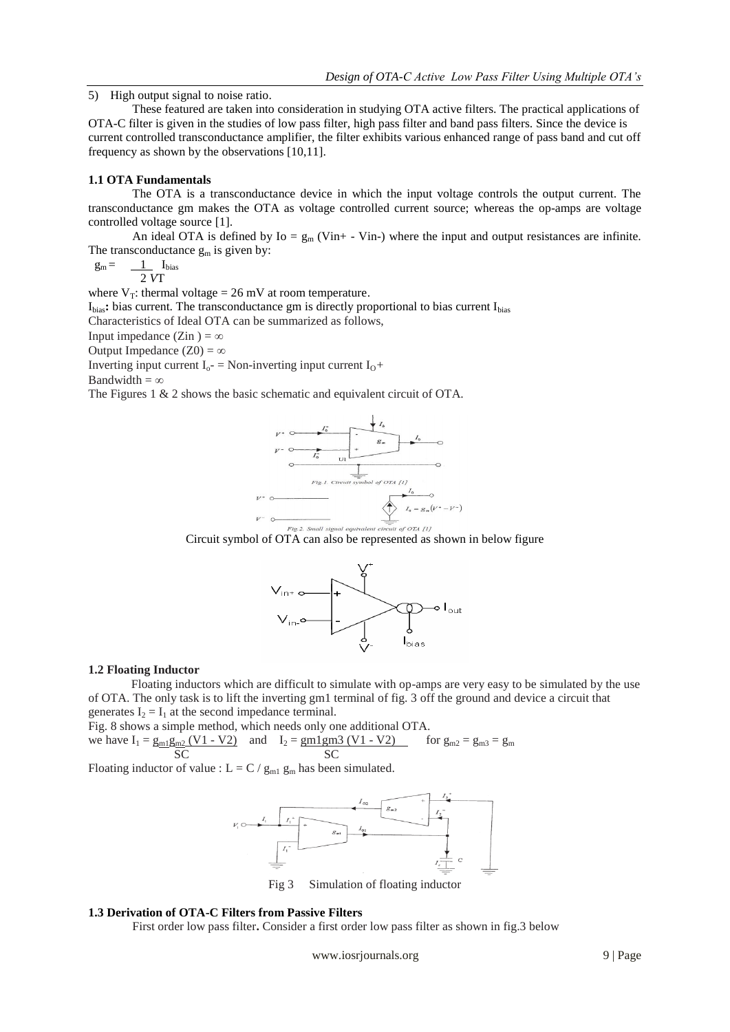5) High output signal to noise ratio.

These featured are taken into consideration in studying OTA active filters. The practical applications of OTA-C filter is given in the studies of low pass filter, high pass filter and band pass filters. Since the device is current controlled transconductance amplifier, the filter exhibits various enhanced range of pass band and cut off frequency as shown by the observations [10,11].

## **1.1 OTA Fundamentals**

The OTA is a transconductance device in which the input voltage controls the output current. The transconductance gm makes the OTA as voltage controlled current source; whereas the op-amps are voltage controlled voltage source [1].

An ideal OTA is defined by  $I_0 = g_m$  (Vin+ - Vin-) where the input and output resistances are infinite. The transconductance  $g_m$  is given by:

 $g_m = \underline{1}$   $I_{bias}$ 2 *V*T

where  $V_T$ : thermal voltage = 26 mV at room temperature.

I<sub>bias</sub>: bias current. The transconductance gm is directly proportional to bias current I<sub>bias</sub> Characteristics of Ideal OTA can be summarized as follows,

Input impedance (Zin ) =  $\infty$ 

Output Impedance  $(Z0) = \infty$ 

Inverting input current  $I_0$ - = Non-inverting input current  $I_0$ +

Bandwidth =  $\infty$ 

The Figures 1 & 2 shows the basic schematic and equivalent circuit of OTA.



Circuit symbol of OTA can also be represented as shown in below figure



#### **1.2 Floating Inductor**

 Floating inductors which are difficult to simulate with op-amps are very easy to be simulated by the use of OTA. The only task is to lift the inverting gm1 terminal of fig. 3 off the ground and device a circuit that generates  $I_2 = I_1$  at the second impedance terminal.

Fig. 8 shows a simple method, which needs only one additional OTA. we have  $I_1 = g_{m1}g_{m2} (V1 - V2)$  and  $I_2 = g_{m1}g_{m3} (V1 - V2)$  for  $g_{m2} = g_{m3} = g_m$ SC SC SC

Floating inductor of value :  $L = C / g_{m1} g_m$  has been simulated.



Simulation of floating inductor

## **1.3 Derivation of OTA-C Filters from Passive Filters**

First order low pass filter**.** Consider a first order low pass filter as shown in fig.3 below

www.iosrjournals.org 9 | Page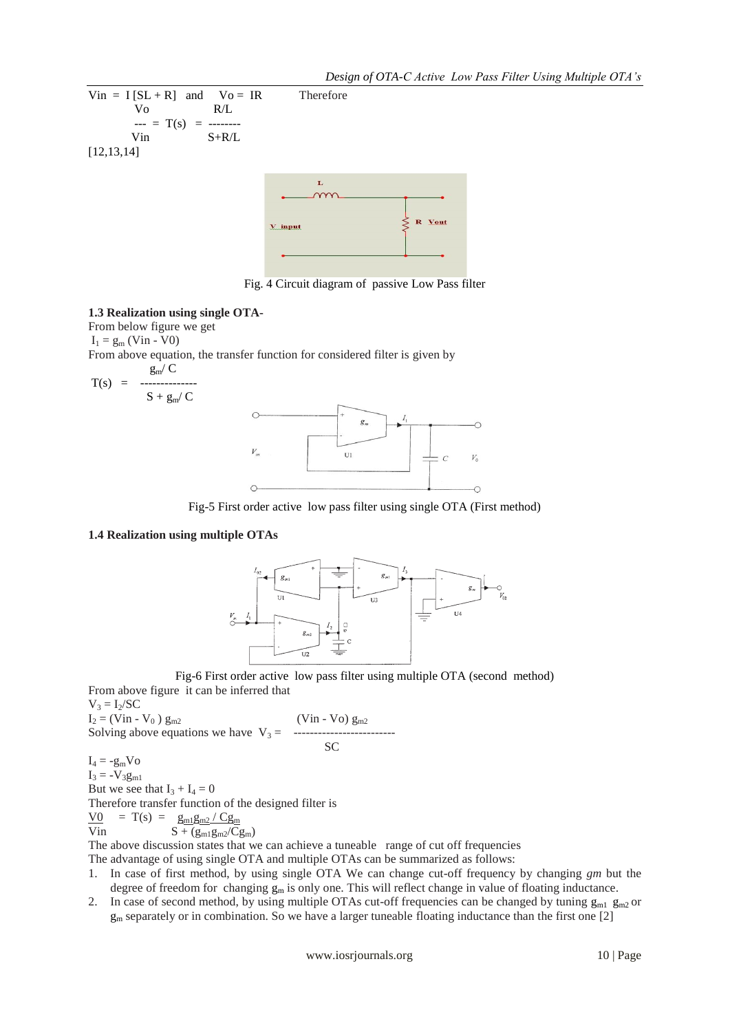$\overline{O}$ 

 $V_0$ 

Ó



Fig. 4 Circuit diagram of passive Low Pass filter

#### **1.3 Realization using single OTA-**

From below figure we get  $I_1 = g_m$  (Vin - V0)

From above equation, the transfer function for considered filter is given by

$$
T(s) = \frac{g_m/C}{s + g_m/C}
$$
\n
$$
V_m
$$
\n
$$
V_m
$$
\n
$$
C
$$
\n
$$
C
$$
\n
$$
V_m
$$
\n
$$
C
$$

Fig-5 First order active low pass filter using single OTA (First method)

#### **1.4 Realization using multiple OTAs**





From above figure it can be inferred that  $V_3 = I_2/SC$  $I_2 = (Vin - V_0) g_{m2}$  (Vin - Vo)  $g_{m2}$ Solving above equations we have V<sup>3</sup> = ------------------------- SC

 $I_4 = -g_m V_0$  $I_3 = -V_3g_{m1}$ But we see that  $I_3 + I_4 = 0$ Therefore transfer function of the designed filter is  $\underline{V0}$  = T(s) =  $\underline{g_{m1}g_{m2}}/Cg_{m}$ Vin  $S + (g_{m1}g_{m2}/Cg_m)$ 

The above discussion states that we can achieve a tuneable range of cut off frequencies

The advantage of using single OTA and multiple OTAs can be summarized as follows:

- 1. In case of first method, by using single OTA We can change cut-off frequency by changing *gm* but the degree of freedom for changing  $g_m$  is only one. This will reflect change in value of floating inductance.
- 2. In case of second method, by using multiple OTAs cut-off frequencies can be changed by tuning  $g_{m1}$   $g_{m2}$  or  $g_m$  separately or in combination. So we have a larger tuneable floating inductance than the first one [2]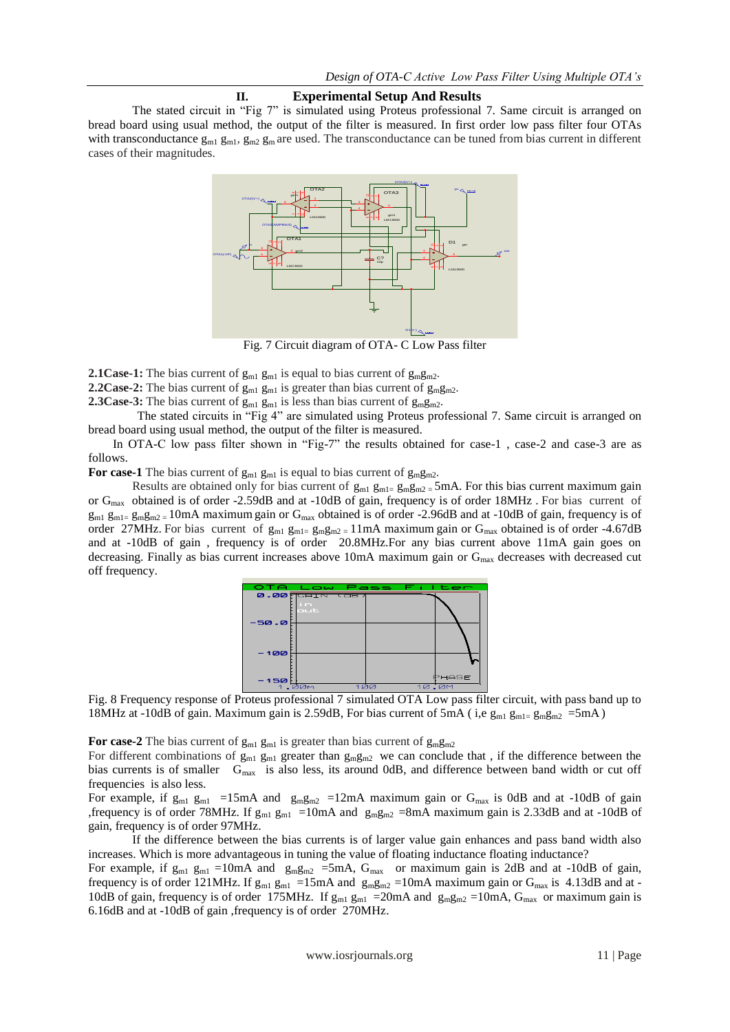## **II. Experimental Setup And Results**

The stated circuit in "Fig 7" is simulated using Proteus professional 7. Same circuit is arranged on bread board using usual method, the output of the filter is measured. In first order low pass filter four OTAs with transconductance  $g_{m1}$   $g_{m2}$ ,  $g_{m2}$   $g_{m1}$  are used. The transconductance can be tuned from bias current in different cases of their magnitudes.



Fig. 7 Circuit diagram of OTA- C Low Pass filter

**2.1Case-1:** The bias current of  $g_{m1}$   $g_{m1}$  is equal to bias current of  $g_{m2}$ .

**2.2Case-2:** The bias current of  $g_{m1}$   $g_{m1}$  is greater than bias current of  $g_{m}g_{m2}$ .

**2.3Case-3:** The bias current of  $g_{m1}$   $g_{m1}$  is less than bias current of  $g_{m}g_{m2}$ .

 The stated circuits in "Fig 4" are simulated using Proteus professional 7. Same circuit is arranged on bread board using usual method, the output of the filter is measured.

In OTA-C low pass filter shown in "Fig-7" the results obtained for case-1, case-2 and case-3 are as follows.

For case-1 The bias current of  $g_{m1}$  g<sub>m1</sub> is equal to bias current of  $g_{m2}$ .

Results are obtained only for bias current of  $g_{m1}g_{m2} = 5mA$ . For this bias current maximum gain or Gmax obtained is of order -2.59dB and at -10dB of gain, frequency is of order 18MHz . For bias current of  $g_{m1}$  g<sub>m1</sub> g<sub>m1</sub> =  $g_{m2m2}$  = 10mA maximum gain or G<sub>max</sub> obtained is of order -2.96dB and at -10dB of gain, frequency is of order 27MHz. For bias current of  $g_{m1} g_{m1} = g_m g_{m2} = 11 \text{ mA}$  maximum gain or  $G_{max}$  obtained is of order -4.67dB and at -10dB of gain , frequency is of order 20.8MHz.For any bias current above 11mA gain goes on decreasing. Finally as bias current increases above 10mA maximum gain or  $G<sub>max</sub>$  decreases with decreased cut off frequency.



Fig. 8 Frequency response of Proteus professional 7 simulated OTA Low pass filter circuit, with pass band up to 18MHz at -10dB of gain. Maximum gain is 2.59dB, For bias current of 5mA ( i,e  $g_{m1}$   $g_{m2}$  =  $g_{m2}$  =  $5$ mA)

**For case-2** The bias current of  $g_{m1}$   $g_{m1}$  is greater than bias current of  $g_{m}g_{m2}$ 

For different combinations of  $g_{m1}$  g<sub>m1</sub> greater than  $g_{m}g_{m2}$  we can conclude that, if the difference between the bias currents is of smaller  $G_{\text{max}}$  is also less, its around 0dB, and difference between band width or cut off frequencies is also less.

For example, if  $g_{m1}$  g<sub>m1</sub> =15mA and  $g_{m}g_{m2}$  =12mA maximum gain or  $G_{max}$  is 0dB and at -10dB of gain ,frequency is of order 78MHz. If  $g_{m1}$  g<sub>m1</sub> =10mA and  $g_{mgm2}$  =8mA maximum gain is 2.33dB and at -10dB of gain, frequency is of order 97MHz.

If the difference between the bias currents is of larger value gain enhances and pass band width also increases. Which is more advantageous in tuning the value of floating inductance floating inductance?

For example, if  $g_{m1}$  g<sub>m1</sub> =10mA and  $g_{m}g_{m2}$  =5mA,  $G_{max}$  or maximum gain is 2dB and at -10dB of gain, frequency is of order 121MHz. If  $g_{m1}$   $g_{m1}$  =15mA and  $g_{m}g_{m2}$  =10mA maximum gain or  $G_{max}$  is 4.13dB and at -10dB of gain, frequency is of order 175MHz. If  $g_{m1}$   $g_{m1}$  =20mA and  $g_{m}g_{m2}$  =10mA,  $G_{max}$  or maximum gain is 6.16dB and at -10dB of gain ,frequency is of order 270MHz.